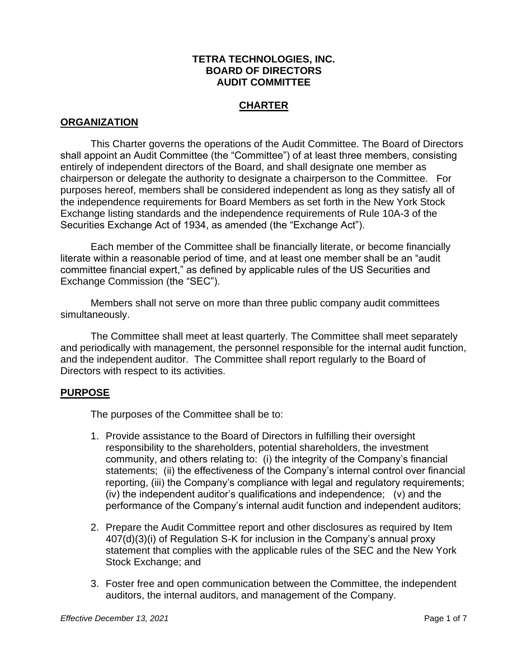### **TETRA TECHNOLOGIES, INC. BOARD OF DIRECTORS AUDIT COMMITTEE**

# **CHARTER**

### **ORGANIZATION**

This Charter governs the operations of the Audit Committee. The Board of Directors shall appoint an Audit Committee (the "Committee") of at least three members, consisting entirely of independent directors of the Board, and shall designate one member as chairperson or delegate the authority to designate a chairperson to the Committee. For purposes hereof, members shall be considered independent as long as they satisfy all of the independence requirements for Board Members as set forth in the New York Stock Exchange listing standards and the independence requirements of Rule 10A-3 of the Securities Exchange Act of 1934, as amended (the "Exchange Act").

Each member of the Committee shall be financially literate, or become financially literate within a reasonable period of time, and at least one member shall be an "audit committee financial expert," as defined by applicable rules of the US Securities and Exchange Commission (the "SEC").

Members shall not serve on more than three public company audit committees simultaneously.

The Committee shall meet at least quarterly. The Committee shall meet separately and periodically with management, the personnel responsible for the internal audit function, and the independent auditor. The Committee shall report regularly to the Board of Directors with respect to its activities.

### **PURPOSE**

The purposes of the Committee shall be to:

- 1. Provide assistance to the Board of Directors in fulfilling their oversight responsibility to the shareholders, potential shareholders, the investment community, and others relating to: (i) the integrity of the Company's financial statements; (ii) the effectiveness of the Company's internal control over financial reporting, (iii) the Company's compliance with legal and regulatory requirements; (iv) the independent auditor's qualifications and independence; (v) and the performance of the Company's internal audit function and independent auditors;
- 2. Prepare the Audit Committee report and other disclosures as required by Item 407(d)(3)(i) of Regulation S-K for inclusion in the Company's annual proxy statement that complies with the applicable rules of the SEC and the New York Stock Exchange; and
- 3. Foster free and open communication between the Committee, the independent auditors, the internal auditors, and management of the Company.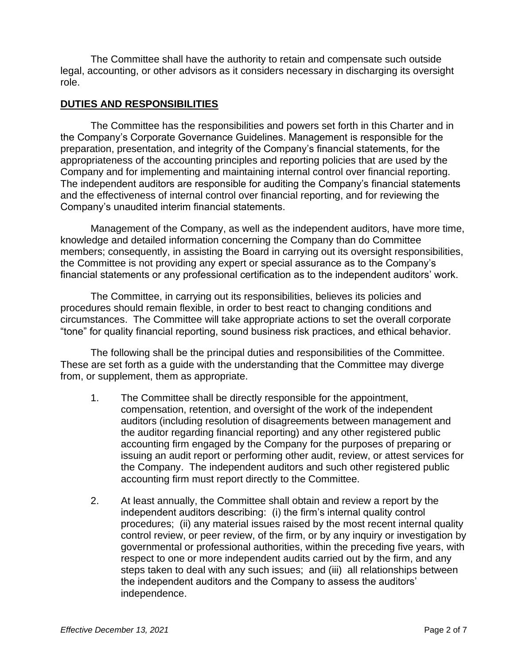The Committee shall have the authority to retain and compensate such outside legal, accounting, or other advisors as it considers necessary in discharging its oversight role.

# **DUTIES AND RESPONSIBILITIES**

The Committee has the responsibilities and powers set forth in this Charter and in the Company's Corporate Governance Guidelines. Management is responsible for the preparation, presentation, and integrity of the Company's financial statements, for the appropriateness of the accounting principles and reporting policies that are used by the Company and for implementing and maintaining internal control over financial reporting. The independent auditors are responsible for auditing the Company's financial statements and the effectiveness of internal control over financial reporting, and for reviewing the Company's unaudited interim financial statements.

Management of the Company, as well as the independent auditors, have more time, knowledge and detailed information concerning the Company than do Committee members; consequently, in assisting the Board in carrying out its oversight responsibilities, the Committee is not providing any expert or special assurance as to the Company's financial statements or any professional certification as to the independent auditors' work.

The Committee, in carrying out its responsibilities, believes its policies and procedures should remain flexible, in order to best react to changing conditions and circumstances. The Committee will take appropriate actions to set the overall corporate "tone" for quality financial reporting, sound business risk practices, and ethical behavior.

The following shall be the principal duties and responsibilities of the Committee. These are set forth as a guide with the understanding that the Committee may diverge from, or supplement, them as appropriate.

- 1. The Committee shall be directly responsible for the appointment, compensation, retention, and oversight of the work of the independent auditors (including resolution of disagreements between management and the auditor regarding financial reporting) and any other registered public accounting firm engaged by the Company for the purposes of preparing or issuing an audit report or performing other audit, review, or attest services for the Company. The independent auditors and such other registered public accounting firm must report directly to the Committee.
- 2. At least annually, the Committee shall obtain and review a report by the independent auditors describing: (i) the firm's internal quality control procedures; (ii) any material issues raised by the most recent internal quality control review, or peer review, of the firm, or by any inquiry or investigation by governmental or professional authorities, within the preceding five years, with respect to one or more independent audits carried out by the firm, and any steps taken to deal with any such issues; and (iii) all relationships between the independent auditors and the Company to assess the auditors' independence.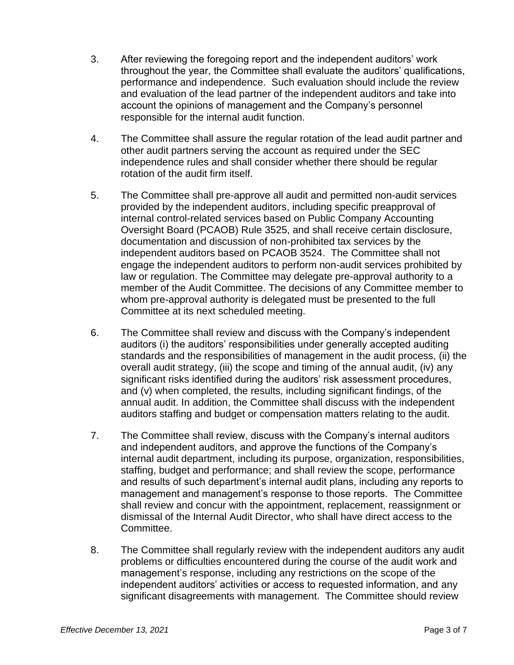- 3. After reviewing the foregoing report and the independent auditors' work throughout the year, the Committee shall evaluate the auditors' qualifications, performance and independence. Such evaluation should include the review and evaluation of the lead partner of the independent auditors and take into account the opinions of management and the Company's personnel responsible for the internal audit function.
- 4. The Committee shall assure the regular rotation of the lead audit partner and other audit partners serving the account as required under the SEC independence rules and shall consider whether there should be regular rotation of the audit firm itself.
- 5. The Committee shall pre-approve all audit and permitted non-audit services provided by the independent auditors, including specific preapproval of internal control-related services based on Public Company Accounting Oversight Board (PCAOB) Rule 3525, and shall receive certain disclosure, documentation and discussion of non-prohibited tax services by the independent auditors based on PCAOB 3524. The Committee shall not engage the independent auditors to perform non-audit services prohibited by law or regulation. The Committee may delegate pre-approval authority to a member of the Audit Committee. The decisions of any Committee member to whom pre-approval authority is delegated must be presented to the full Committee at its next scheduled meeting.
- 6. The Committee shall review and discuss with the Company's independent auditors (i) the auditors' responsibilities under generally accepted auditing standards and the responsibilities of management in the audit process, (ii) the overall audit strategy, (iii) the scope and timing of the annual audit, (iv) any significant risks identified during the auditors' risk assessment procedures, and (v) when completed, the results, including significant findings, of the annual audit. In addition, the Committee shall discuss with the independent auditors staffing and budget or compensation matters relating to the audit.
- 7. The Committee shall review, discuss with the Company's internal auditors and independent auditors, and approve the functions of the Company's internal audit department, including its purpose, organization, responsibilities, staffing, budget and performance; and shall review the scope, performance and results of such department's internal audit plans, including any reports to management and management's response to those reports. The Committee shall review and concur with the appointment, replacement, reassignment or dismissal of the Internal Audit Director, who shall have direct access to the Committee.
- 8. The Committee shall regularly review with the independent auditors any audit problems or difficulties encountered during the course of the audit work and management's response, including any restrictions on the scope of the independent auditors' activities or access to requested information, and any significant disagreements with management. The Committee should review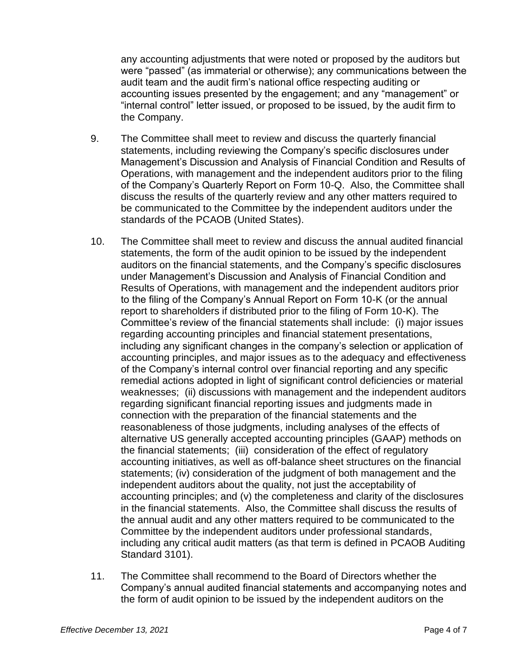any accounting adjustments that were noted or proposed by the auditors but were "passed" (as immaterial or otherwise); any communications between the audit team and the audit firm's national office respecting auditing or accounting issues presented by the engagement; and any "management" or "internal control" letter issued, or proposed to be issued, by the audit firm to the Company.

- 9. The Committee shall meet to review and discuss the quarterly financial statements, including reviewing the Company's specific disclosures under Management's Discussion and Analysis of Financial Condition and Results of Operations, with management and the independent auditors prior to the filing of the Company's Quarterly Report on Form 10-Q. Also, the Committee shall discuss the results of the quarterly review and any other matters required to be communicated to the Committee by the independent auditors under the standards of the PCAOB (United States).
- 10. The Committee shall meet to review and discuss the annual audited financial statements, the form of the audit opinion to be issued by the independent auditors on the financial statements, and the Company's specific disclosures under Management's Discussion and Analysis of Financial Condition and Results of Operations, with management and the independent auditors prior to the filing of the Company's Annual Report on Form 10-K (or the annual report to shareholders if distributed prior to the filing of Form 10-K). The Committee's review of the financial statements shall include: (i) major issues regarding accounting principles and financial statement presentations, including any significant changes in the company's selection or application of accounting principles, and major issues as to the adequacy and effectiveness of the Company's internal control over financial reporting and any specific remedial actions adopted in light of significant control deficiencies or material weaknesses; (ii) discussions with management and the independent auditors regarding significant financial reporting issues and judgments made in connection with the preparation of the financial statements and the reasonableness of those judgments, including analyses of the effects of alternative US generally accepted accounting principles (GAAP) methods on the financial statements; (iii) consideration of the effect of regulatory accounting initiatives, as well as off-balance sheet structures on the financial statements; (iv) consideration of the judgment of both management and the independent auditors about the quality, not just the acceptability of accounting principles; and (v) the completeness and clarity of the disclosures in the financial statements. Also, the Committee shall discuss the results of the annual audit and any other matters required to be communicated to the Committee by the independent auditors under professional standards, including any critical audit matters (as that term is defined in PCAOB Auditing Standard 3101).
- 11. The Committee shall recommend to the Board of Directors whether the Company's annual audited financial statements and accompanying notes and the form of audit opinion to be issued by the independent auditors on the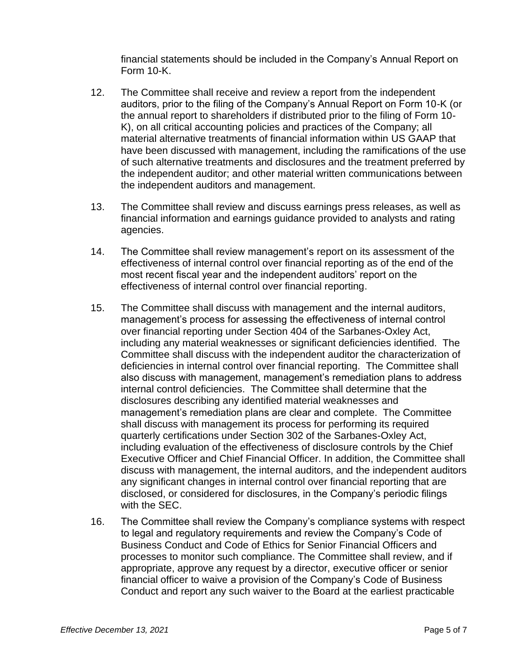financial statements should be included in the Company's Annual Report on Form 10-K.

- 12. The Committee shall receive and review a report from the independent auditors, prior to the filing of the Company's Annual Report on Form 10-K (or the annual report to shareholders if distributed prior to the filing of Form 10- K), on all critical accounting policies and practices of the Company; all material alternative treatments of financial information within US GAAP that have been discussed with management, including the ramifications of the use of such alternative treatments and disclosures and the treatment preferred by the independent auditor; and other material written communications between the independent auditors and management.
- 13. The Committee shall review and discuss earnings press releases, as well as financial information and earnings guidance provided to analysts and rating agencies.
- 14. The Committee shall review management's report on its assessment of the effectiveness of internal control over financial reporting as of the end of the most recent fiscal year and the independent auditors' report on the effectiveness of internal control over financial reporting.
- 15. The Committee shall discuss with management and the internal auditors, management's process for assessing the effectiveness of internal control over financial reporting under Section 404 of the Sarbanes-Oxley Act, including any material weaknesses or significant deficiencies identified. The Committee shall discuss with the independent auditor the characterization of deficiencies in internal control over financial reporting. The Committee shall also discuss with management, management's remediation plans to address internal control deficiencies. The Committee shall determine that the disclosures describing any identified material weaknesses and management's remediation plans are clear and complete. The Committee shall discuss with management its process for performing its required quarterly certifications under Section 302 of the Sarbanes-Oxley Act, including evaluation of the effectiveness of disclosure controls by the Chief Executive Officer and Chief Financial Officer. In addition, the Committee shall discuss with management, the internal auditors, and the independent auditors any significant changes in internal control over financial reporting that are disclosed, or considered for disclosures, in the Company's periodic filings with the SEC.
- 16. The Committee shall review the Company's compliance systems with respect to legal and regulatory requirements and review the Company's Code of Business Conduct and Code of Ethics for Senior Financial Officers and processes to monitor such compliance. The Committee shall review, and if appropriate, approve any request by a director, executive officer or senior financial officer to waive a provision of the Company's Code of Business Conduct and report any such waiver to the Board at the earliest practicable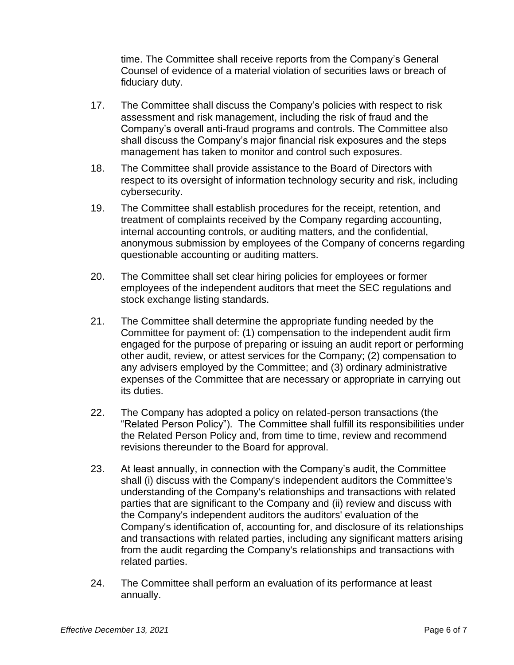time. The Committee shall receive reports from the Company's General Counsel of evidence of a material violation of securities laws or breach of fiduciary duty.

- 17. The Committee shall discuss the Company's policies with respect to risk assessment and risk management, including the risk of fraud and the Company's overall anti-fraud programs and controls. The Committee also shall discuss the Company's major financial risk exposures and the steps management has taken to monitor and control such exposures.
- 18. The Committee shall provide assistance to the Board of Directors with respect to its oversight of information technology security and risk, including cybersecurity.
- 19. The Committee shall establish procedures for the receipt, retention, and treatment of complaints received by the Company regarding accounting, internal accounting controls, or auditing matters, and the confidential, anonymous submission by employees of the Company of concerns regarding questionable accounting or auditing matters.
- 20. The Committee shall set clear hiring policies for employees or former employees of the independent auditors that meet the SEC regulations and stock exchange listing standards.
- 21. The Committee shall determine the appropriate funding needed by the Committee for payment of: (1) compensation to the independent audit firm engaged for the purpose of preparing or issuing an audit report or performing other audit, review, or attest services for the Company; (2) compensation to any advisers employed by the Committee; and (3) ordinary administrative expenses of the Committee that are necessary or appropriate in carrying out its duties.
- 22. The Company has adopted a policy on related-person transactions (the "Related Person Policy"). The Committee shall fulfill its responsibilities under the Related Person Policy and, from time to time, review and recommend revisions thereunder to the Board for approval.
- 23. At least annually, in connection with the Company's audit, the Committee shall (i) discuss with the Company's independent auditors the Committee's understanding of the Company's relationships and transactions with related parties that are significant to the Company and (ii) review and discuss with the Company's independent auditors the auditors' evaluation of the Company's identification of, accounting for, and disclosure of its relationships and transactions with related parties, including any significant matters arising from the audit regarding the Company's relationships and transactions with related parties.
- 24. The Committee shall perform an evaluation of its performance at least annually.